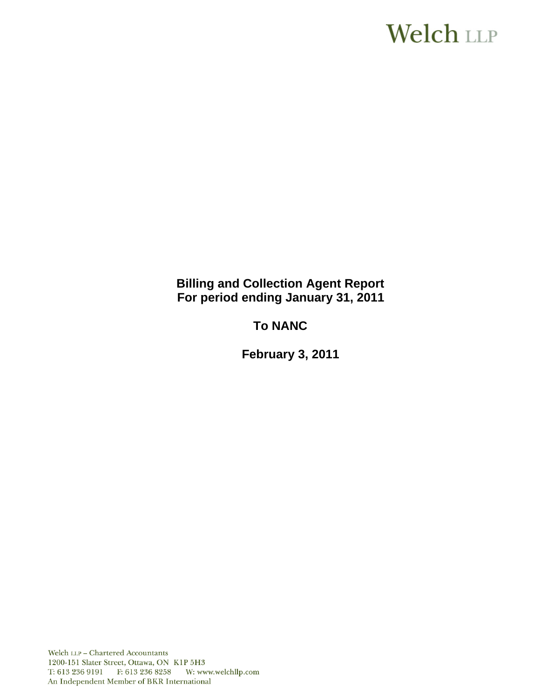# **Welch LLP**

**Billing and Collection Agent Report For period ending January 31, 2011**

**To NANC** 

 **February 3, 2011**

Welch LLP - Chartered Accountants 1200-151 Slater Street, Ottawa, ON K1P 5H3 T: 613 236 9191 F: 613 236 8258 W: www.welchllp.com An Independent Member of BKR International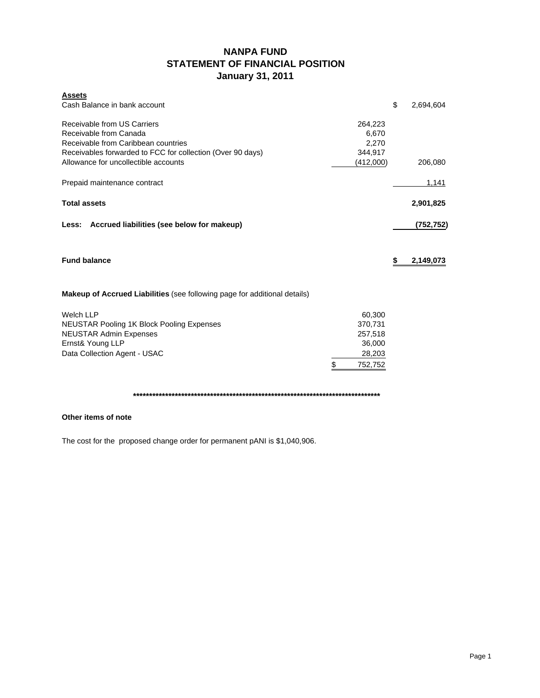# **NANPA FUND STATEMENT OF FINANCIAL POSITION January 31, 2011**

| <b>Assets</b><br>Cash Balance in bank account                                                                                                                                                      |                                                                   | \$<br>2,694,604 |
|----------------------------------------------------------------------------------------------------------------------------------------------------------------------------------------------------|-------------------------------------------------------------------|-----------------|
| Receivable from US Carriers<br>Receivable from Canada<br>Receivable from Caribbean countries<br>Receivables forwarded to FCC for collection (Over 90 days)<br>Allowance for uncollectible accounts | 264,223<br>6,670<br>2,270<br>344,917<br>(412,000)                 | 206,080         |
| Prepaid maintenance contract                                                                                                                                                                       |                                                                   | 1,141           |
| <b>Total assets</b>                                                                                                                                                                                |                                                                   | 2,901,825       |
| Less: Accrued liabilities (see below for makeup)                                                                                                                                                   |                                                                   | (752, 752)      |
| <b>Fund balance</b>                                                                                                                                                                                |                                                                   | \$<br>2,149,073 |
| <b>Makeup of Accrued Liabilities</b> (see following page for additional details)                                                                                                                   |                                                                   |                 |
| <b>Welch LLP</b><br><b>NEUSTAR Pooling 1K Block Pooling Expenses</b><br><b>NEUSTAR Admin Expenses</b><br>Ernst& Young LLP<br>Data Collection Agent - USAC                                          | \$<br>60,300<br>370,731<br>257,518<br>36,000<br>28,203<br>752.752 |                 |

**\*\*\*\*\*\*\*\*\*\*\*\*\*\*\*\*\*\*\*\*\*\*\*\*\*\*\*\*\*\*\*\*\*\*\*\*\*\*\*\*\*\*\*\*\*\*\*\*\*\*\*\*\*\*\*\*\*\*\*\*\*\*\*\*\*\*\*\*\*\*\*\*\*\*\*\*\***

## **Other items of note**

The cost for the proposed change order for permanent pANI is \$1,040,906.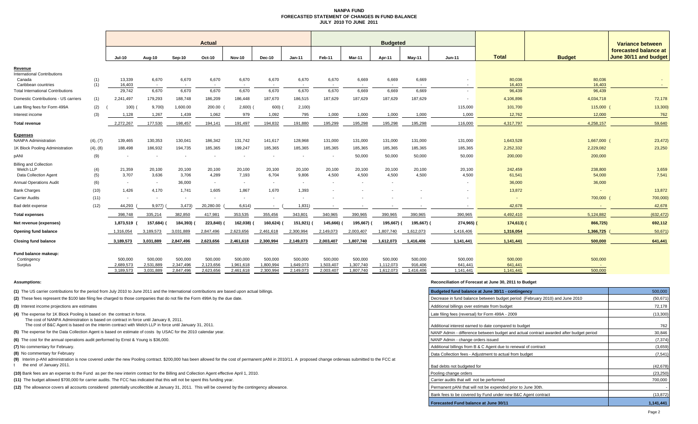#### **NANPA FUND FORECASTED STATEMENT OF CHANGES IN FUND BALANCEJULY 2010 TO JUNE 2011**

|                                                                     |                      |                          |                          |                          | <b>Actual</b>            |                          |                        |                          |                                   |                        | <b>Budgeted</b>          |                      |                      |                          |                        | <b>Variance between</b>                        |
|---------------------------------------------------------------------|----------------------|--------------------------|--------------------------|--------------------------|--------------------------|--------------------------|------------------------|--------------------------|-----------------------------------|------------------------|--------------------------|----------------------|----------------------|--------------------------|------------------------|------------------------------------------------|
|                                                                     |                      | <b>Jul-10</b>            | Aug-10                   | Sep-10                   | Oct-10                   | <b>Nov-10</b>            | <b>Dec-10</b>          | $Jan-11$                 | Feb-11                            | Mar-11                 | Apr-11                   | $May-11$             | <b>Jun-11</b>        | <b>Total</b>             | <b>Budget</b>          | forecasted balance at<br>June 30/11 and budget |
| Revenue                                                             |                      |                          |                          |                          |                          |                          |                        |                          |                                   |                        |                          |                      |                      |                          |                        |                                                |
| <b>International Contributions</b><br>Canada<br>Caribbean countries | (1)<br>(1)           | 13,339<br>16,403         | 6,670<br>$\sim$          | 6,670                    | 6,670                    | 6,670<br>$\sim$          | 6,670                  | 6,670                    | 6,670<br>$\overline{\phantom{a}}$ | 6,669                  | 6,669                    | 6,669                |                      | 80,036<br>16,403         | 80,036<br>16,403       |                                                |
| <b>Total International Contributions</b>                            |                      | 29,742                   | 6,670                    | 6,670                    | 6,670                    | 6,670                    | 6,670                  | 6,670                    | 6,670                             | 6,669                  | 6,669                    | 6,669                | $\sim$               | 96,439                   | 96,439                 |                                                |
| Domestic Contributions - US carriers                                | (1)                  | 2,241,497                | 179,293                  | 188,748                  | 186,209                  | 186,448                  | 187,670                | 186,515                  | 187,629                           | 187,629                | 187,629                  | 187,629              |                      | 4,106,896                | 4,034,718              | 72,178                                         |
| Late filing fees for Form 499A                                      | (2)                  | 100(                     | 9,700)                   | 1,600.00                 | 200.00                   | 2,600                    | 600)                   | 2,100                    |                                   |                        |                          |                      | 115,000              | 101,700                  | 115,000                | 13,300                                         |
| Interest income                                                     | (3)                  | 1,128                    | 1,267                    | 1,439                    | 1,062                    | 979                      | 1,092                  | 795                      | 1,000                             | 1,000                  | 1,000                    | 1,000                | 1,000                | 12,762                   | 12,000                 | 762                                            |
| <b>Total revenue</b>                                                |                      | 2,272,267                | 177,530                  | 198,457                  | 194,141                  | 191,497                  | 194,832                | 191,880                  | 195,299                           | 195,298                | 195,298                  | 195,298              | 116,000              | 4,317,797                | 4,258,157              | 59,640                                         |
| <b>Expenses</b><br><b>NANPA Administration</b>                      |                      | 139,465                  |                          | 130,041                  | 186,342                  | 131,742                  |                        |                          |                                   |                        | 131,000                  |                      |                      |                          |                        | 23,472)                                        |
| 1K Block Pooling Administration                                     | (4), (7)<br>(4), (8) | 188,498                  | 130,353<br>186,932       | 194,735                  | 185,365                  | 199,247                  | 141,617<br>185,365     | 128,968<br>185,365       | 131,000<br>185,365                | 131,000<br>185,365     | 185,365                  | 131,000<br>185,365   | 131,000<br>185,365   | 1,643,528<br>2,252,332   | 1,667,000<br>2,229,082 | 23,250                                         |
| pANI                                                                | (9)                  | $\overline{\phantom{a}}$ | $\overline{\phantom{a}}$ |                          |                          | $\overline{\phantom{a}}$ |                        | $\overline{\phantom{a}}$ | $\overline{\phantom{a}}$          | 50,000                 | 50,000                   | 50,000               | 50,000               | 200,000                  | 200,000                |                                                |
| <b>Billing and Collection</b>                                       |                      |                          |                          |                          |                          |                          |                        |                          |                                   |                        |                          |                      |                      |                          |                        |                                                |
| Welch LLP<br><b>Data Collection Agent</b>                           | (4)<br>(5)           | 21,359<br>3,707          | 20,100<br>3,636          | 20,100<br>3,706          | 20,100<br>4,289          | 20,100<br>7,193          | 20,100<br>6,704        | 20,100<br>9,806          | 20,100<br>4,500                   | 20,100<br>4,500        | 20,100<br>4,500          | 20,100<br>4,500      | 20,100<br>4,500      | 242,459<br>61,541        | 238,800<br>54,000      | 3,659<br>7,541                                 |
| <b>Annual Operations Audit</b>                                      | (6)                  | $\sim$                   | $\sim$                   | 36,000                   | $\sim$                   | $\sim$                   | $\sim$                 | $\sim$                   | $\overline{\phantom{a}}$          | $\overline{a}$         | $\overline{\phantom{a}}$ |                      |                      | 36,000                   | 36,000                 |                                                |
| <b>Bank Charges</b>                                                 | (10)                 | 1,426                    | 4,170                    | 1.741                    | 1,605                    | 1,867                    | 1.670                  | 1,393                    |                                   |                        |                          |                      |                      | 13,872                   | $\sim$                 | 13,872                                         |
| <b>Carrier Audits</b>                                               | (11)                 | $\overline{\phantom{a}}$ | $\overline{\phantom{a}}$ | $\overline{\phantom{a}}$ | $\overline{\phantom{a}}$ | $\sim$                   |                        | $\sim$                   |                                   |                        |                          |                      |                      | $\overline{\phantom{a}}$ | 700,000                | 700,000)                                       |
| Bad debt expense                                                    | (12)                 | 44,293                   | 9,977)                   | 3,473                    | 20,280.00                | 6,614)                   |                        | 1,831                    |                                   |                        |                          |                      |                      | 42,678                   |                        | 42,678                                         |
| <b>Total expenses</b>                                               |                      | 398,748                  | 335,214                  | 382,850                  | 417,981                  | 353,535                  | 355,456                | 343,801                  | 340,965                           | 390,965                | 390,965                  | 390,965              | 390,965              | 4,492,410                | 5,124,882              | (632, 472)                                     |
| Net revenue (expenses)                                              |                      | 1,873,519                | 157,684)                 | 184,393)                 | 223,840)                 | 162,038)                 | 160,624)               | 151,921)                 | 145,666)                          | 195,667)               | 195,667)                 | 195,667) (           | 274,965)             | $174,613$ )              | 866,725)               | 692,112                                        |
| Opening fund balance                                                |                      | 1,316,054                | 3,189,573                | 3,031,889                | 2,847,496                | 2,623,656                | 2,461,618              | 2,300,994                | 2,149,073                         | 2,003,407              | 1,807,740                | 1,612,073            | 1,416,406            | 1,316,054                | 1,366,725              | 50,671                                         |
| <b>Closing fund balance</b>                                         |                      | 3,189,573                | 3,031,889                | 2,847,496                | 2,623,656                | 2,461,618                | 2,300,994              | 2,149,073                | 2,003,407                         | 1.807.740              | 1,612,073                | 1,416,406            | 1,141,441            | 1,141,441                | 500,000                | 641,441                                        |
| Fund balance makeup:<br>Contingency                                 |                      | 500,000                  | 500,000                  | 500,000                  | 500,000                  | 500,000                  | 500,000                | 500,000                  | 500,000                           | 500,000                | 500,000                  | 500,000              | 500,000              | 500,000                  | 500,000                |                                                |
| Surplus                                                             |                      | 2,689,573<br>3,189,573   | 2,531,889<br>3,031,889   | 2,347,496<br>2,847,496   | 2,123,656<br>2,623,656   | 1,961,618<br>2,461,618   | 1,800,994<br>2,300,994 | 1,649,073<br>2,149,073   | 1,503,407<br>2,003,407            | 1,307,740<br>1,807,740 | 1,112,073<br>1,612,073   | 916,406<br>1,416,406 | 641,441<br>1,141,441 | 641.441<br>1.141.441     | 500,000                |                                                |
|                                                                     |                      |                          |                          |                          |                          |                          |                        |                          |                                   |                        |                          |                      |                      |                          |                        |                                                |

#### **Assumptions: Reconciliation of Forecast at June 30, 2011 to Budget**

| (1) The US carrier contributions for the period from July 2010 to June 2011 and the International contributions are based upon actual billings.                                                          | Budgeted fund balance at June 30/11 - contingency                                      | 500,000   |
|----------------------------------------------------------------------------------------------------------------------------------------------------------------------------------------------------------|----------------------------------------------------------------------------------------|-----------|
| (2) These fees represent the \$100 late filing fee charged to those companies that do not file the Form 499A by the due date.                                                                            | Decrease in fund balance between budget period (February 2010) and June 2010           | (50, 671) |
| (3) Interest income projections are estimates                                                                                                                                                            | Additional billings over estimate from budget                                          | 72,178    |
| (4) The expense for 1K Block Pooling is based on the contract in force.<br>The cost of NANPA Administration is based on contract in force until January 8, 2011.                                         | Late filing fees (reversal) for Form 499A - 2009                                       | (13,300)  |
| The cost of B&C Agent is based on the interim contract with Welch LLP in force until January 31, 2011.                                                                                                   | Additional interest earned to date compared to budget                                  | 762       |
| (5) The expense for the Data Collection Agent is based on estimate of costs by USAC for the 2010 calendar year.                                                                                          | NANP Admin - difference between budget and actual contract awarded after budget period | 30,846    |
| (6) The cost for the annual operations audit performed by Ernst & Young is \$36,000.                                                                                                                     | NANP Admin - change orders issued                                                      | (7, 374)  |
| (7) No commentary for February.                                                                                                                                                                          | Additional billings from B & C Agent due to renewal of contract                        | (3,659)   |
| (8) No commentary for February                                                                                                                                                                           | Data Collection fees - Adiustment to actual from budget                                | (7, 541)  |
| (9) Interim p-ANI administration is now covered under the new Pooling contract. \$200,000 has been allowed for the cost of permanent pANI in 2010/11. A proposed change orderwas submitted to the FCC at |                                                                                        |           |
| the end of January 2011.                                                                                                                                                                                 | Bad debts not budgeted for                                                             | (42, 678) |
| (10) Bank fees are an expense to the Fund as per the new interim contract for the Billing and Collection Agent effective April 1, 2010.                                                                  | Pooling change orders                                                                  | (23, 250) |
| (11) The budget allowed \$700,000 for carrier audits. The FCC has indicated that this will not be spent this funding year.                                                                               | Carrier audits that will not be performed                                              | 700,000   |
| (12) The allowance covers all accounts considered potentially uncollectible at January 31, 2011. This will be covered by the contingency allowance.                                                      | Permanent pANi that will not be expended prior to June 30th.                           |           |
|                                                                                                                                                                                                          | Bank fees to be covered by Fund under new B&C Agent contract                           | (13, 872) |
|                                                                                                                                                                                                          | Forecasted Fund balance at June 30/11                                                  | 1,141,441 |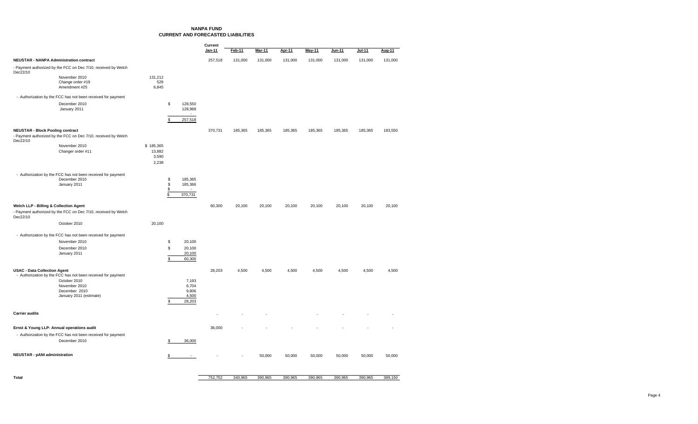#### **NANPA FUNDCURRENT AND FORECASTED LIABILITIES**

|                                                                                                                       |                 |          |                    | Current |         |               |               |               |         |         |         |
|-----------------------------------------------------------------------------------------------------------------------|-----------------|----------|--------------------|---------|---------|---------------|---------------|---------------|---------|---------|---------|
|                                                                                                                       |                 |          |                    | Jan-11  | Feb-11  | <b>Mar-11</b> | <b>Apr-11</b> | <b>May-11</b> | Jun-11  | Jul-11  | Aug-11  |
| <b>NEUSTAR - NANPA Administration contract</b>                                                                        |                 |          |                    | 257,518 | 131,000 | 131,000       | 131,000       | 131,000       | 131,000 | 131,000 | 131,000 |
| - Payment authorized by the FCC on Dec 7/10, received by Welch<br>Dec22/10                                            |                 |          |                    |         |         |               |               |               |         |         |         |
| November 2010<br>Change order #19                                                                                     | 131,212<br>529  |          |                    |         |         |               |               |               |         |         |         |
| Amendment #25                                                                                                         | 6,845           |          |                    |         |         |               |               |               |         |         |         |
| - Authorization by the FCC has not been received for payment                                                          |                 |          |                    |         |         |               |               |               |         |         |         |
| December 2010                                                                                                         |                 | \$       | 128,550            |         |         |               |               |               |         |         |         |
| January 2011                                                                                                          |                 |          | 128,968<br>$\sim$  |         |         |               |               |               |         |         |         |
|                                                                                                                       |                 | \$       | 257,518            |         |         |               |               |               |         |         |         |
| <b>NEUSTAR - Block Pooling contract</b><br>- Payment authorized by the FCC on Dec 7/10, received by Welch<br>Dec22/10 |                 |          |                    | 370,731 | 185,365 | 185,365       | 185,365       | 185,365       | 185,365 | 185,365 | 183,550 |
| November 2010                                                                                                         | \$185,365       |          |                    |         |         |               |               |               |         |         |         |
| Changer order #11                                                                                                     | 13,882<br>3,590 |          |                    |         |         |               |               |               |         |         |         |
|                                                                                                                       | 2,238           |          |                    |         |         |               |               |               |         |         |         |
| - Authorization by the FCC has not been received for payment                                                          |                 |          |                    |         |         |               |               |               |         |         |         |
| December 2010<br>January 2011                                                                                         |                 | \$<br>\$ | 185,365<br>185,366 |         |         |               |               |               |         |         |         |
|                                                                                                                       |                 | \$       |                    |         |         |               |               |               |         |         |         |
|                                                                                                                       |                 | \$       | 370,731            |         |         |               |               |               |         |         |         |
| Welch LLP - Billing & Collection Agent                                                                                |                 |          |                    | 60,300  | 20,100  | 20,100        | 20,100        | 20,100        | 20,100  | 20,100  | 20,100  |
| - Payment authorized by the FCC on Dec 7/10, received by Welch<br>Dec22/10                                            |                 |          |                    |         |         |               |               |               |         |         |         |
| October 2010                                                                                                          | 20,100          |          |                    |         |         |               |               |               |         |         |         |
| - Authorization by the FCC has not been received for payment                                                          |                 |          |                    |         |         |               |               |               |         |         |         |
| November 2010                                                                                                         |                 | \$       | 20,100             |         |         |               |               |               |         |         |         |
| December 2010                                                                                                         |                 | \$       | 20,100<br>20,100   |         |         |               |               |               |         |         |         |
| January 2011                                                                                                          |                 | \$       | 60,300             |         |         |               |               |               |         |         |         |
| <b>USAC - Data Collection Agent</b><br>- Authorization by the FCC has not been received for payment                   |                 |          |                    | 28,203  | 4,500   | 4,500         | 4,500         | 4,500         | 4,500   | 4,500   | 4,500   |
| October 2010<br>November 2010                                                                                         |                 |          | 7,193<br>6,704     |         |         |               |               |               |         |         |         |
| December 2010                                                                                                         |                 |          | 9,806              |         |         |               |               |               |         |         |         |
| January 2011 (estimate)                                                                                               |                 | \$       | 4,500<br>28,203    |         |         |               |               |               |         |         |         |
|                                                                                                                       |                 |          |                    |         |         |               |               |               |         |         |         |
| <b>Carrier audits</b>                                                                                                 |                 |          |                    |         |         |               |               |               |         |         |         |
| Ernst & Young LLP- Annual operations audit                                                                            |                 |          |                    | 36,000  |         |               |               |               |         |         |         |
| - Authorization by the FCC has not been received for payment                                                          |                 |          |                    |         |         |               |               |               |         |         |         |
| December 2010                                                                                                         |                 | \$       | 36,000             |         |         |               |               |               |         |         |         |
| <b>NEUSTAR - pANI administration</b>                                                                                  |                 | \$       | $\sim$             |         |         | 50,000        | 50,000        | 50,000        | 50,000  | 50,000  | 50,000  |
|                                                                                                                       |                 |          |                    |         |         |               |               |               |         |         |         |

**Total** 340,965 752,752 390,965 390,965 390,965 390,965 390,965 389,150